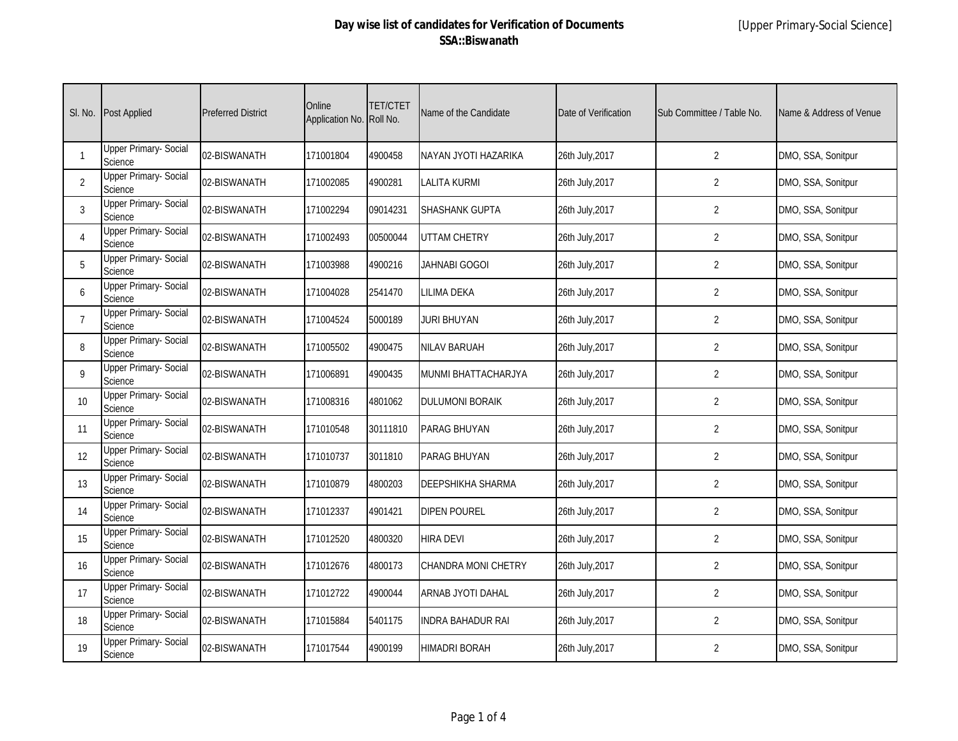| SI. No.          | <b>Post Applied</b>                     | <b>Preferred District</b> | Online<br>Application No. | TET/CTET<br>Roll No. | Name of the Candidate    | Date of Verification | Sub Committee / Table No. | Name & Address of Venue |
|------------------|-----------------------------------------|---------------------------|---------------------------|----------------------|--------------------------|----------------------|---------------------------|-------------------------|
|                  | Upper Primary- Social<br>Science        | 02-BISWANATH              | 171001804                 | 4900458              | NAYAN JYOTI HAZARIKA     | 26th July, 2017      | $\overline{2}$            | DMO, SSA, Sonitpur      |
| 2                | <b>Upper Primary- Social</b><br>Science | 02-BISWANATH              | 171002085                 | 4900281              | <b>LALITA KURMI</b>      | 26th July, 2017      | $\overline{2}$            | DMO, SSA, Sonitpur      |
| 3                | <b>Upper Primary- Social</b><br>Science | 02-BISWANATH              | 171002294                 | 09014231             | <b>SHASHANK GUPTA</b>    | 26th July, 2017      | $\overline{2}$            | DMO, SSA, Sonitpur      |
| $\overline{A}$   | <b>Upper Primary- Social</b><br>Science | 02-BISWANATH              | 171002493                 | 00500044             | <b>UTTAM CHETRY</b>      | 26th July, 2017      | 2                         | DMO, SSA, Sonitpur      |
| 5                | Upper Primary- Social<br>Science        | 02-BISWANATH              | 171003988                 | 4900216              | JAHNABI GOGOI            | 26th July, 2017      | $\overline{2}$            | DMO, SSA, Sonitpur      |
| 6                | <b>Upper Primary- Social</b><br>Science | 02-BISWANATH              | 171004028                 | 2541470              | <b>LILIMA DEKA</b>       | 26th July, 2017      | $\overline{2}$            | DMO, SSA, Sonitpur      |
|                  | <b>Upper Primary- Social</b><br>Science | 02-BISWANATH              | 171004524                 | 5000189              | JURI BHUYAN              | 26th July, 2017      | $\overline{2}$            | DMO, SSA, Sonitpur      |
| 8                | Upper Primary- Social<br>Science        | 02-BISWANATH              | 171005502                 | 4900475              | <b>NILAV BARUAH</b>      | 26th July, 2017      | $\overline{2}$            | DMO, SSA, Sonitpur      |
| 9                | <b>Upper Primary- Social</b><br>Science | 02-BISWANATH              | 171006891                 | 4900435              | MUNMI BHATTACHARJYA      | 26th July, 2017      | $\overline{2}$            | DMO, SSA, Sonitpur      |
| 10 <sup>10</sup> | <b>Upper Primary- Social</b><br>Science | 02-BISWANATH              | 171008316                 | 4801062              | <b>DULUMONI BORAIK</b>   | 26th July, 2017      | 2                         | DMO, SSA, Sonitpur      |
| 11               | <b>Upper Primary- Social</b><br>Science | 02-BISWANATH              | 171010548                 | 30111810             | <b>PARAG BHUYAN</b>      | 26th July, 2017      | $\overline{2}$            | DMO, SSA, Sonitpur      |
| 12               | <b>Upper Primary-Social</b><br>Science  | 02-BISWANATH              | 171010737                 | 3011810              | <b>PARAG BHUYAN</b>      | 26th July, 2017      | $\overline{2}$            | DMO, SSA, Sonitpur      |
| 13               | <b>Upper Primary- Social</b><br>Science | 02-BISWANATH              | 171010879                 | 4800203              | <b>DEEPSHIKHA SHARMA</b> | 26th July, 2017      | $\overline{2}$            | DMO, SSA, Sonitpur      |
| 14               | Upper Primary- Social<br>Science        | 02-BISWANATH              | 171012337                 | 4901421              | <b>DIPEN POUREL</b>      | 26th July, 2017      | $\overline{2}$            | DMO, SSA, Sonitpur      |
| 15               | Upper Primary- Social<br>Science        | 02-BISWANATH              | 171012520                 | 4800320              | <b>HIRA DEVI</b>         | 26th July, 2017      | $\overline{2}$            | DMO, SSA, Sonitpur      |
| 16               | <b>Upper Primary-Social</b><br>Science  | 02-BISWANATH              | 171012676                 | 4800173              | CHANDRA MONI CHETRY      | 26th July, 2017      | $\overline{2}$            | DMO, SSA, Sonitpur      |
| 17               | Upper Primary- Social<br>Science        | 02-BISWANATH              | 171012722                 | 4900044              | ARNAB JYOTI DAHAL        | 26th July, 2017      | 2                         | DMO, SSA, Sonitpur      |
| 18               | Upper Primary- Social<br>Science        | 02-BISWANATH              | 171015884                 | 5401175              | <b>INDRA BAHADUR RAI</b> | 26th July, 2017      | $\overline{2}$            | DMO, SSA, Sonitpur      |
| 19               | Upper Primary- Social<br>Science        | 02-BISWANATH              | 171017544                 | 4900199              | <b>HIMADRI BORAH</b>     | 26th July, 2017      | 2                         | DMO, SSA, Sonitpur      |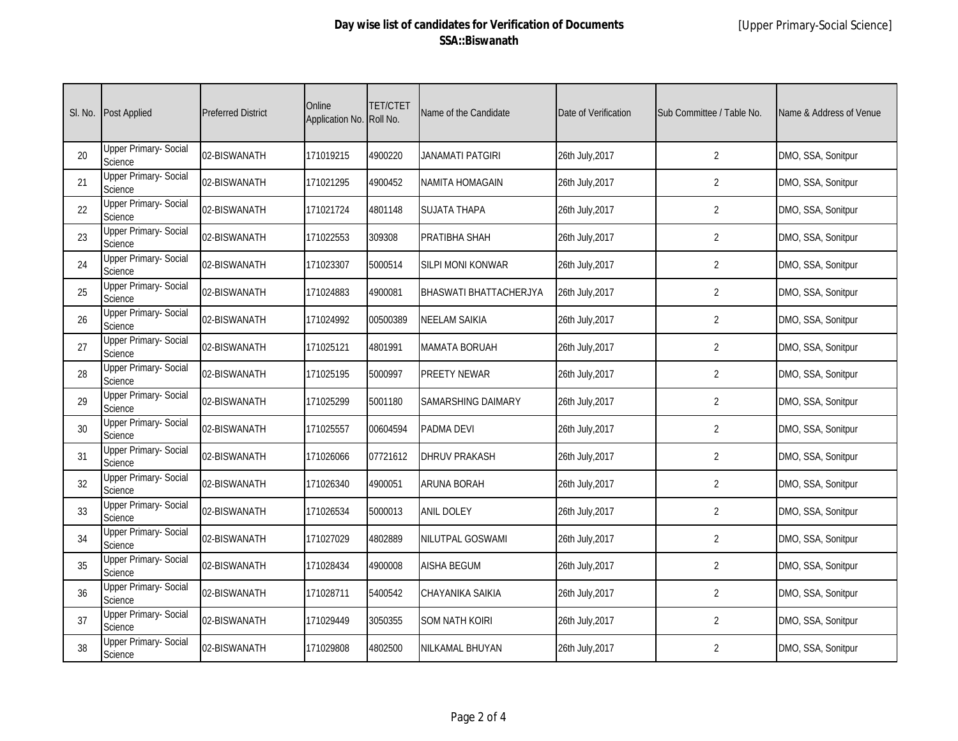|    | SI. No. Post Applied                    | <b>Preferred District</b> | Online<br>Application No. | <b>TET/CTET</b><br>Roll No. | Name of the Candidate         | Date of Verification | Sub Committee / Table No. | Name & Address of Venue |
|----|-----------------------------------------|---------------------------|---------------------------|-----------------------------|-------------------------------|----------------------|---------------------------|-------------------------|
| 20 | <b>Upper Primary- Social</b><br>Science | 02-BISWANATH              | 171019215                 | 4900220                     | <b>JANAMATI PATGIRI</b>       | 26th July, 2017      | $\overline{2}$            | DMO, SSA, Sonitpur      |
| 21 | <b>Upper Primary- Social</b><br>Science | 02-BISWANATH              | 171021295                 | 4900452                     | NAMITA HOMAGAIN               | 26th July, 2017      | $\overline{2}$            | DMO, SSA, Sonitpur      |
| 22 | <b>Upper Primary- Social</b><br>Science | 02-BISWANATH              | 171021724                 | 4801148                     | <b>SUJATA THAPA</b>           | 26th July, 2017      | $\overline{2}$            | DMO, SSA, Sonitpur      |
| 23 | <b>Upper Primary- Social</b><br>Science | 02-BISWANATH              | 171022553                 | 309308                      | PRATIBHA SHAH                 | 26th July, 2017      | $\overline{2}$            | DMO, SSA, Sonitpur      |
| 24 | <b>Upper Primary- Social</b><br>Science | 02-BISWANATH              | 171023307                 | 5000514                     | SILPI MONI KONWAR             | 26th July, 2017      | $\overline{2}$            | DMO, SSA, Sonitpur      |
| 25 | <b>Upper Primary- Social</b><br>Science | 02-BISWANATH              | 171024883                 | 4900081                     | <b>BHASWATI BHATTACHERJYA</b> | 26th July, 2017      | $\overline{2}$            | DMO, SSA, Sonitpur      |
| 26 | <b>Upper Primary- Social</b><br>Science | 02-BISWANATH              | 171024992                 | 00500389                    | <b>NEELAM SAIKIA</b>          | 26th July, 2017      | 2                         | DMO, SSA, Sonitpur      |
| 27 | <b>Upper Primary- Social</b><br>Science | 02-BISWANATH              | 171025121                 | 4801991                     | MAMATA BORUAH                 | 26th July, 2017      | 2                         | DMO, SSA, Sonitpur      |
| 28 | <b>Upper Primary- Social</b><br>Science | 02-BISWANATH              | 171025195                 | 5000997                     | PREETY NEWAR                  | 26th July, 2017      | 2                         | DMO, SSA, Sonitpur      |
| 29 | <b>Upper Primary- Social</b><br>Science | 02-BISWANATH              | 171025299                 | 5001180                     | SAMARSHING DAIMARY            | 26th July, 2017      | 2                         | DMO, SSA, Sonitpur      |
| 30 | <b>Upper Primary- Social</b><br>Science | 02-BISWANATH              | 171025557                 | 00604594                    | <b>PADMA DEVI</b>             | 26th July, 2017      | 2                         | DMO, SSA, Sonitpur      |
| 31 | <b>Upper Primary- Social</b><br>Science | 02-BISWANATH              | 171026066                 | 07721612                    | <b>DHRUV PRAKASH</b>          | 26th July, 2017      | 2                         | DMO, SSA, Sonitpur      |
| 32 | Upper Primary- Social<br>Science        | 02-BISWANATH              | 171026340                 | 4900051                     | <b>ARUNA BORAH</b>            | 26th July, 2017      | 2                         | DMO, SSA, Sonitpur      |
| 33 | <b>Upper Primary- Social</b><br>Science | 02-BISWANATH              | 171026534                 | 5000013                     | <b>ANIL DOLEY</b>             | 26th July, 2017      | 2                         | DMO, SSA, Sonitpur      |
| 34 | Upper Primary- Social<br>Science        | 02-BISWANATH              | 171027029                 | 4802889                     | NILUTPAL GOSWAMI              | 26th July, 2017      | $\overline{2}$            | DMO, SSA, Sonitpur      |
| 35 | <b>Upper Primary- Social</b><br>Science | 02-BISWANATH              | 171028434                 | 4900008                     | <b>AISHA BEGUM</b>            | 26th July, 2017      | $\overline{2}$            | DMO, SSA, Sonitpur      |
| 36 | <b>Upper Primary- Social</b><br>Science | 02-BISWANATH              | 171028711                 | 5400542                     | CHAYANIKA SAIKIA              | 26th July, 2017      | $\overline{2}$            | DMO, SSA, Sonitpur      |
| 37 | <b>Upper Primary- Social</b><br>Science | 02-BISWANATH              | 171029449                 | 3050355                     | <b>SOM NATH KOIRI</b>         | 26th July, 2017      | 2                         | DMO, SSA, Sonitpur      |
| 38 | <b>Upper Primary- Social</b><br>Science | 02-BISWANATH              | 171029808                 | 4802500                     | NILKAMAL BHUYAN               | 26th July, 2017      | 2                         | DMO, SSA, Sonitpur      |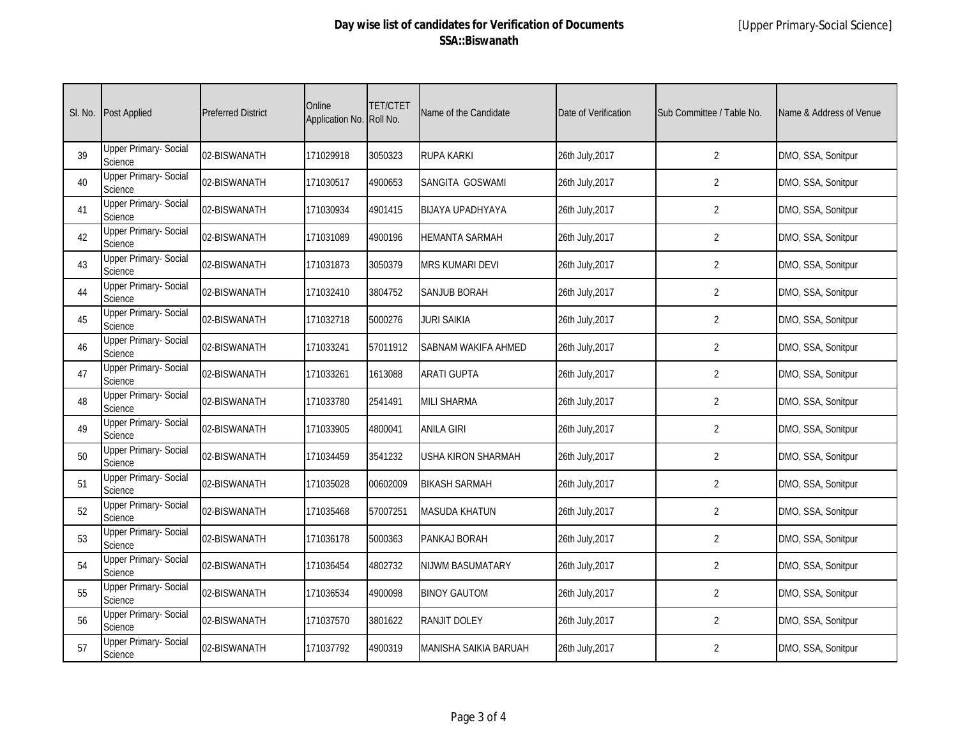| SI. No. | <b>Post Applied</b>                     | <b>Preferred District</b> | Online<br>Application No. | <b>TET/CTET</b><br>Roll No. | Name of the Candidate | Date of Verification | Sub Committee / Table No. | Name & Address of Venue |
|---------|-----------------------------------------|---------------------------|---------------------------|-----------------------------|-----------------------|----------------------|---------------------------|-------------------------|
| 39      | <b>Upper Primary- Social</b><br>Science | 02-BISWANATH              | 171029918                 | 3050323                     | <b>RUPA KARKI</b>     | 26th July, 2017      | $\overline{2}$            | DMO, SSA, Sonitpur      |
| 40      | <b>Upper Primary- Social</b><br>Science | 02-BISWANATH              | 171030517                 | 4900653                     | SANGITA GOSWAMI       | 26th July, 2017      | $\overline{2}$            | DMO, SSA, Sonitpur      |
| 41      | <b>Upper Primary- Social</b><br>Science | 02-BISWANATH              | 171030934                 | 4901415                     | BIJAYA UPADHYAYA      | 26th July, 2017      | $\overline{2}$            | DMO, SSA, Sonitpur      |
| 42      | <b>Upper Primary- Social</b><br>Science | 02-BISWANATH              | 171031089                 | 4900196                     | HEMANTA SARMAH        | 26th July, 2017      | $\overline{2}$            | DMO, SSA, Sonitpur      |
| 43      | <b>Upper Primary- Social</b><br>Science | 02-BISWANATH              | 171031873                 | 3050379                     | MRS KUMARI DEVI       | 26th July, 2017      | $\overline{2}$            | DMO, SSA, Sonitpur      |
| 44      | <b>Upper Primary- Social</b><br>Science | 02-BISWANATH              | 171032410                 | 3804752                     | SANJUB BORAH          | 26th July, 2017      | $\overline{2}$            | DMO, SSA, Sonitpur      |
| 45      | <b>Upper Primary- Social</b><br>Science | 02-BISWANATH              | 171032718                 | 5000276                     | JURI SAIKIA           | 26th July, 2017      | $\overline{2}$            | DMO, SSA, Sonitpur      |
| 46      | <b>Upper Primary- Social</b><br>Science | 02-BISWANATH              | 171033241                 | 57011912                    | SABNAM WAKIFA AHMED   | 26th July, 2017      | $\overline{2}$            | DMO, SSA, Sonitpur      |
| 47      | <b>Upper Primary- Social</b><br>Science | 02-BISWANATH              | 171033261                 | 1613088                     | <b>ARATI GUPTA</b>    | 26th July, 2017      | $\overline{2}$            | DMO, SSA, Sonitpur      |
| 48      | <b>Upper Primary- Social</b><br>Science | 02-BISWANATH              | 171033780                 | 2541491                     | <b>MILI SHARMA</b>    | 26th July, 2017      | $\overline{2}$            | DMO, SSA, Sonitpur      |
| 49      | Upper Primary- Social<br>Science        | 02-BISWANATH              | 171033905                 | 4800041                     | <b>ANILA GIRI</b>     | 26th July, 2017      | $\overline{2}$            | DMO, SSA, Sonitpur      |
| 50      | <b>Upper Primary- Social</b><br>Science | 02-BISWANATH              | 171034459                 | 3541232                     | USHA KIRON SHARMAH    | 26th July, 2017      | $\overline{2}$            | DMO, SSA, Sonitpur      |
| 51      | <b>Upper Primary- Social</b><br>Science | 02-BISWANATH              | 171035028                 | 00602009                    | <b>BIKASH SARMAH</b>  | 26th July, 2017      | $\overline{2}$            | DMO, SSA, Sonitpur      |
| 52      | <b>Upper Primary- Social</b><br>Science | 02-BISWANATH              | 171035468                 | 57007251                    | MASUDA KHATUN         | 26th July, 2017      | $\overline{2}$            | DMO, SSA, Sonitpur      |
| 53      | <b>Upper Primary- Social</b><br>Science | 02-BISWANATH              | 171036178                 | 5000363                     | PANKAJ BORAH          | 26th July, 2017      | $\overline{2}$            | DMO, SSA, Sonitpur      |
| 54      | <b>Upper Primary- Social</b><br>Science | 02-BISWANATH              | 171036454                 | 4802732                     | NIJWM BASUMATARY      | 26th July, 2017      | $\overline{2}$            | DMO, SSA, Sonitpur      |
| 55      | <b>Upper Primary- Social</b><br>Science | 02-BISWANATH              | 171036534                 | 4900098                     | <b>BINOY GAUTOM</b>   | 26th July, 2017      | $\overline{2}$            | DMO, SSA, Sonitpur      |
| 56      | <b>Upper Primary- Social</b><br>Science | 02-BISWANATH              | 171037570                 | 3801622                     | RANJIT DOLEY          | 26th July, 2017      | $\overline{2}$            | DMO, SSA, Sonitpur      |
| 57      | <b>Upper Primary- Social</b><br>Science | 02-BISWANATH              | 171037792                 | 4900319                     | MANISHA SAIKIA BARUAH | 26th July, 2017      | $\overline{2}$            | DMO, SSA, Sonitpur      |